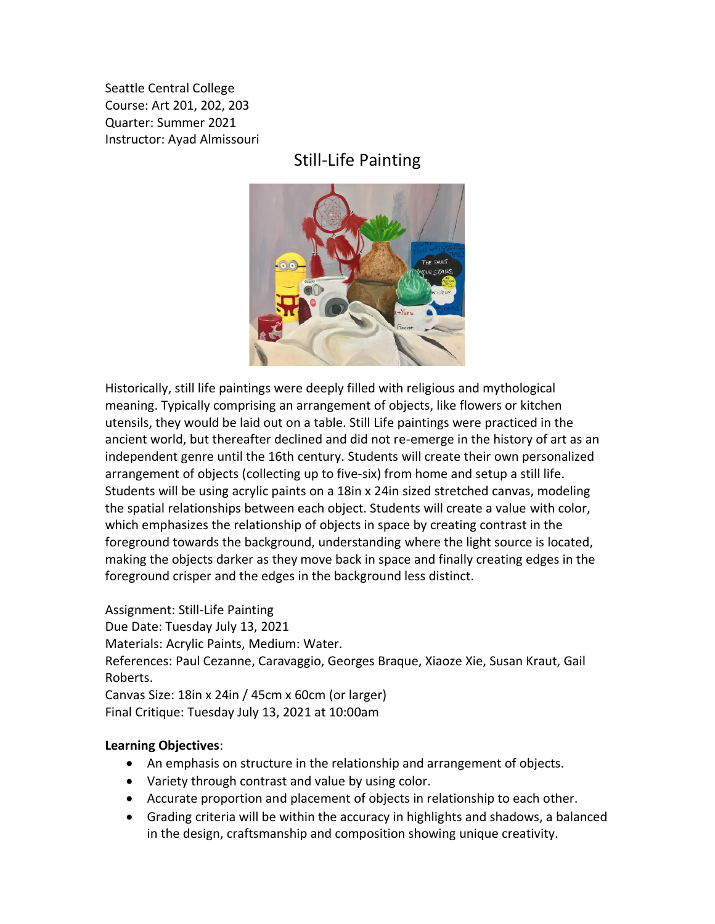Seattle Central College Course: Art 201, 202, 203 Quarter: Summer 2021 Instructor: Ayad Almissouri

# Still-Life Painting



Historically, still life paintings were deeply filled with religious and mythological meaning. Typically comprising an arrangement of objects, like flowers or kitchen utensils, they would be laid out on a table. Still Life paintings were practiced in the ancient world, but thereafter declined and did not re-emerge in the history of art as an independent genre until the 16th century. Students will create their own personalized arrangement of objects (collecting up to five-six) from home and setup a still life. Students will be using acrylic paints on a 18in x 24in sized stretched canvas, modeling the spatial relationships between each object. Students will create a value with color, which emphasizes the relationship of objects in space by creating contrast in the foreground towards the background, understanding where the light source is located, making the objects darker as they move back in space and finally creating edges in the foreground crisper and the edges in the background less distinct.

Assignment: Still-Life Painting Due Date: Tuesday July 13, 2021 Materials: Acrylic Paints, Medium: Water. References: Paul Cezanne, Caravaggio, Georges Braque, Xiaoze Xie, Susan Kraut, Gail Roberts. Canvas Size: 18in x 24in / 45cm x 60cm (or larger) Final Critique: Tuesday July 13, 2021 at 10:00am

#### **Learning Objectives**:

- An emphasis on structure in the relationship and arrangement of objects.
- Variety through contrast and value by using color.
- Accurate proportion and placement of objects in relationship to each other.
- Grading criteria will be within the accuracy in highlights and shadows, a balanced in the design, craftsmanship and composition showing unique creativity.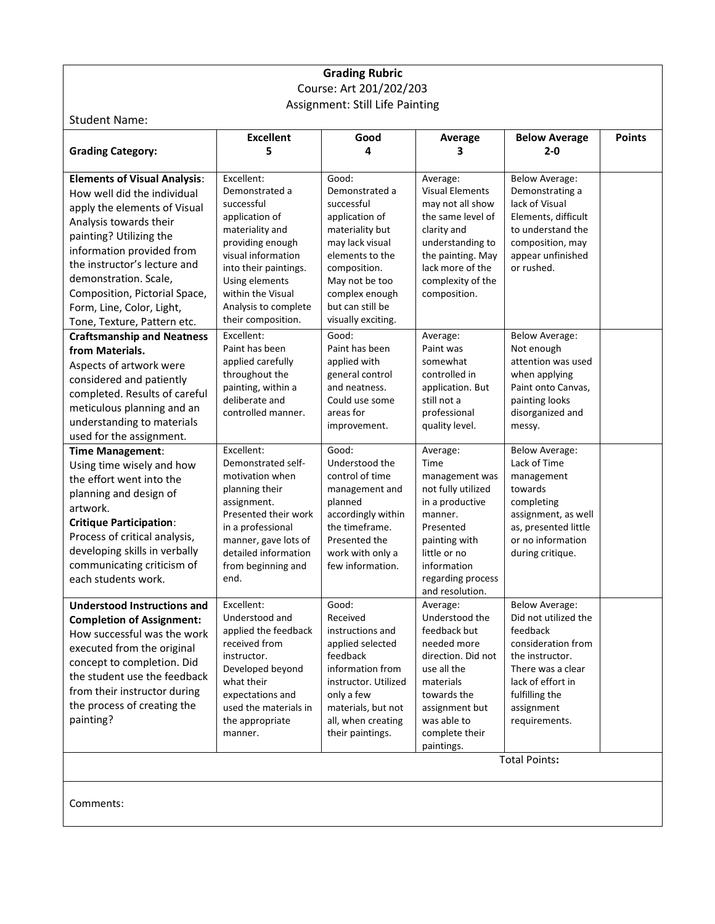### **Grading Rubric** Course: Art 201/202/203 Assignment: Still Life Painting

Student Na

| Student Name:                                                                                                                                                                                                                                                                                                                                                                                      |                                                                                                                                                                                                                                                                         |                                                                                                                                                                                                                                           |                                                                                                                                                                                                                       |                                                                                                                                                                                                                       |               |
|----------------------------------------------------------------------------------------------------------------------------------------------------------------------------------------------------------------------------------------------------------------------------------------------------------------------------------------------------------------------------------------------------|-------------------------------------------------------------------------------------------------------------------------------------------------------------------------------------------------------------------------------------------------------------------------|-------------------------------------------------------------------------------------------------------------------------------------------------------------------------------------------------------------------------------------------|-----------------------------------------------------------------------------------------------------------------------------------------------------------------------------------------------------------------------|-----------------------------------------------------------------------------------------------------------------------------------------------------------------------------------------------------------------------|---------------|
| <b>Grading Category:</b>                                                                                                                                                                                                                                                                                                                                                                           | <b>Excellent</b><br>5                                                                                                                                                                                                                                                   | Good<br>4                                                                                                                                                                                                                                 | Average<br>3                                                                                                                                                                                                          | <b>Below Average</b><br>$2 - 0$                                                                                                                                                                                       | <b>Points</b> |
| <b>Elements of Visual Analysis:</b><br>How well did the individual<br>apply the elements of Visual<br>Analysis towards their<br>painting? Utilizing the<br>information provided from<br>the instructor's lecture and<br>demonstration. Scale,<br>Composition, Pictorial Space,<br>Form, Line, Color, Light,<br>Tone, Texture, Pattern etc.<br><b>Craftsmanship and Neatness</b><br>from Materials. | Excellent:<br>Demonstrated a<br>successful<br>application of<br>materiality and<br>providing enough<br>visual information<br>into their paintings.<br>Using elements<br>within the Visual<br>Analysis to complete<br>their composition.<br>Excellent:<br>Paint has been | Good:<br>Demonstrated a<br>successful<br>application of<br>materiality but<br>may lack visual<br>elements to the<br>composition.<br>May not be too<br>complex enough<br>but can still be<br>visually exciting.<br>Good:<br>Paint has been | Average:<br><b>Visual Elements</b><br>may not all show<br>the same level of<br>clarity and<br>understanding to<br>the painting. May<br>lack more of the<br>complexity of the<br>composition.<br>Average:<br>Paint was | <b>Below Average:</b><br>Demonstrating a<br>lack of Visual<br>Elements, difficult<br>to understand the<br>composition, may<br>appear unfinished<br>or rushed.<br><b>Below Average:</b><br>Not enough                  |               |
| Aspects of artwork were<br>considered and patiently<br>completed. Results of careful<br>meticulous planning and an<br>understanding to materials<br>used for the assignment.                                                                                                                                                                                                                       | applied carefully<br>throughout the<br>painting, within a<br>deliberate and<br>controlled manner.                                                                                                                                                                       | applied with<br>general control<br>and neatness.<br>Could use some<br>areas for<br>improvement.                                                                                                                                           | somewhat<br>controlled in<br>application. But<br>still not a<br>professional<br>quality level.                                                                                                                        | attention was used<br>when applying<br>Paint onto Canvas,<br>painting looks<br>disorganized and<br>messy.                                                                                                             |               |
| Time Management:<br>Using time wisely and how<br>the effort went into the<br>planning and design of<br>artwork.<br><b>Critique Participation:</b><br>Process of critical analysis,<br>developing skills in verbally<br>communicating criticism of<br>each students work.                                                                                                                           | Excellent:<br>Demonstrated self-<br>motivation when<br>planning their<br>assignment.<br>Presented their work<br>in a professional<br>manner, gave lots of<br>detailed information<br>from beginning and<br>end.                                                         | Good:<br>Understood the<br>control of time<br>management and<br>planned<br>accordingly within<br>the timeframe.<br>Presented the<br>work with only a<br>few information.                                                                  | Average:<br>Time<br>management was<br>not fully utilized<br>in a productive<br>manner.<br>Presented<br>painting with<br>little or no<br>information<br>regarding process<br>and resolution.                           | <b>Below Average:</b><br>Lack of Time<br>management<br>towards<br>completing<br>assignment, as well<br>as, presented little<br>or no information<br>during critique.                                                  |               |
| <b>Understood Instructions and</b><br><b>Completion of Assignment:</b><br>How successful was the work<br>executed from the original<br>concept to completion. Did<br>the student use the feedback<br>from their instructor during<br>the process of creating the<br>painting?                                                                                                                      | Excellent:<br>Understood and<br>applied the feedback<br>received from<br>instructor.<br>Developed beyond<br>what their<br>expectations and<br>used the materials in<br>the appropriate<br>manner.                                                                       | Good:<br>Received<br>instructions and<br>applied selected<br>feedback<br>information from<br>instructor. Utilized<br>only a few<br>materials, but not<br>all, when creating<br>their paintings.                                           | Average:<br>Understood the<br>feedback but<br>needed more<br>direction. Did not<br>use all the<br>materials<br>towards the<br>assignment but<br>was able to<br>complete their<br>paintings.                           | <b>Below Average:</b><br>Did not utilized the<br>feedback<br>consideration from<br>the instructor.<br>There was a clear<br>lack of effort in<br>fulfilling the<br>assignment<br>requirements.<br><b>Total Points:</b> |               |
|                                                                                                                                                                                                                                                                                                                                                                                                    |                                                                                                                                                                                                                                                                         |                                                                                                                                                                                                                                           |                                                                                                                                                                                                                       |                                                                                                                                                                                                                       |               |
| Comments:                                                                                                                                                                                                                                                                                                                                                                                          |                                                                                                                                                                                                                                                                         |                                                                                                                                                                                                                                           |                                                                                                                                                                                                                       |                                                                                                                                                                                                                       |               |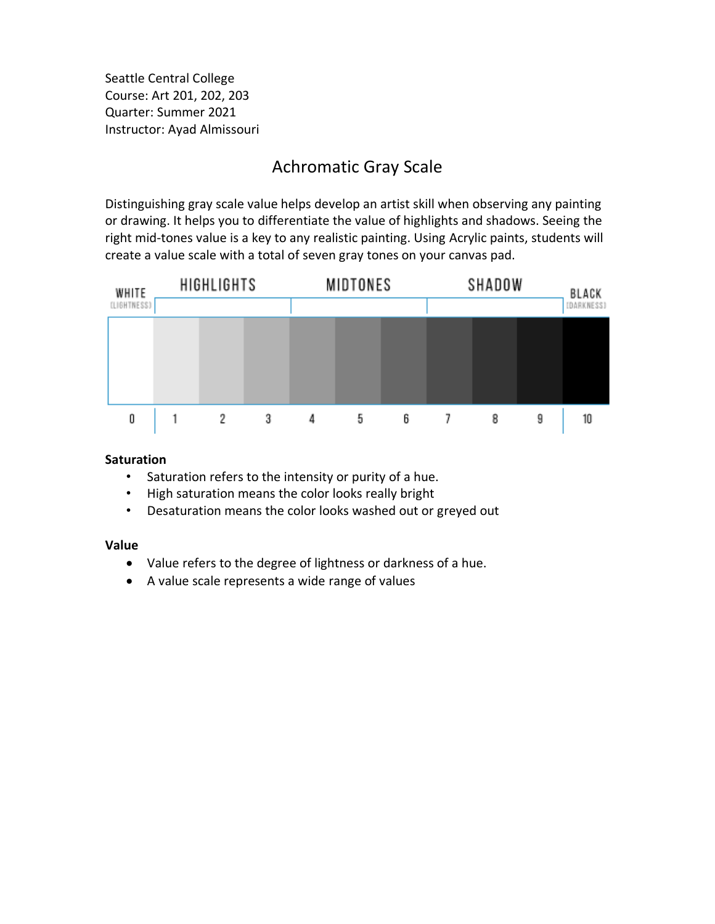Seattle Central College Course: Art 201, 202, 203 Quarter: Summer 2021 Instructor: Ayad Almissouri

# Achromatic Gray Scale

Distinguishing gray scale value helps develop an artist skill when observing any painting or drawing. It helps you to differentiate the value of highlights and shadows. Seeing the right mid-tones value is a key to any realistic painting. Using Acrylic paints, students will create a value scale with a total of seven gray tones on your canvas pad.



#### **Saturation**

- Saturation refers to the intensity or purity of a hue.
- High saturation means the color looks really bright
- Desaturation means the color looks washed out or greyed out

#### **Value**

- Value refers to the degree of lightness or darkness of a hue.
- A value scale represents a wide range of values